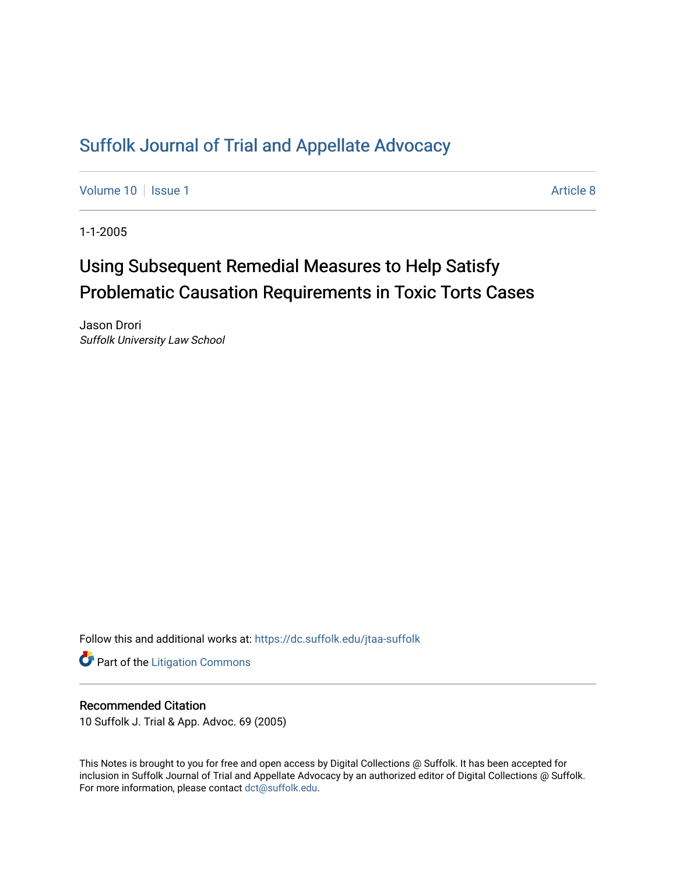# [Suffolk Journal of Trial and Appellate Advocacy](https://dc.suffolk.edu/jtaa-suffolk)

[Volume 10](https://dc.suffolk.edu/jtaa-suffolk/vol10) | [Issue 1](https://dc.suffolk.edu/jtaa-suffolk/vol10/iss1) Article 8

1-1-2005

# Using Subsequent Remedial Measures to Help Satisfy Problematic Causation Requirements in Toxic Torts Cases

Jason Drori Suffolk University Law School

Follow this and additional works at: [https://dc.suffolk.edu/jtaa-suffolk](https://dc.suffolk.edu/jtaa-suffolk?utm_source=dc.suffolk.edu%2Fjtaa-suffolk%2Fvol10%2Fiss1%2F8&utm_medium=PDF&utm_campaign=PDFCoverPages) 

**Part of the [Litigation Commons](https://network.bepress.com/hgg/discipline/910?utm_source=dc.suffolk.edu%2Fjtaa-suffolk%2Fvol10%2Fiss1%2F8&utm_medium=PDF&utm_campaign=PDFCoverPages)** 

# Recommended Citation

10 Suffolk J. Trial & App. Advoc. 69 (2005)

This Notes is brought to you for free and open access by Digital Collections @ Suffolk. It has been accepted for inclusion in Suffolk Journal of Trial and Appellate Advocacy by an authorized editor of Digital Collections @ Suffolk. For more information, please contact [dct@suffolk.edu](mailto:dct@suffolk.edu).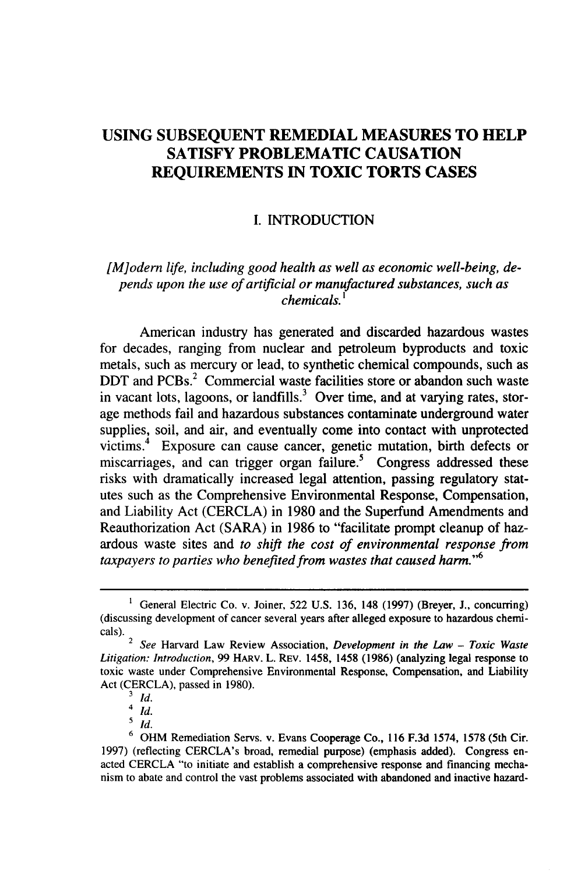# **USING SUBSEQUENT REMEDIAL MEASURES TO HELP SATISFY PROBLEMATIC CAUSATION REQUIREMENTS IN TOXIC TORTS CASES**

### **I.** INTRODUCTION

# *[M]odern life, including good health as well as economic well-being, depends upon the use of artificial or manufactured substances, such as chemicals. '*

American industry has generated and discarded hazardous wastes for decades, ranging from nuclear and petroleum byproducts and toxic metals, such as mercury or lead, to synthetic chemical compounds, such as DDT and PCBs.<sup>2</sup> Commercial waste facilities store or abandon such waste in vacant lots, lagoons, or landfills.<sup>3</sup> Over time, and at varying rates, storage methods fail and hazardous substances contaminate underground water supplies, soil, and air, and eventually come into contact with unprotected victims. $4$  Exposure can cause cancer, genetic mutation, birth defects or miscarriages, and can trigger organ failure.<sup>5</sup> Congress addressed these risks with dramatically increased legal attention, passing regulatory statutes such as the Comprehensive Environmental Response, Compensation, and Liability Act (CERCLA) in **1980** and the Superfund Amendments and Reauthorization Act (SARA) in **1986** to "facilitate prompt cleanup of hazardous waste sites and *to shift the cost of environmental response from taxpayers to parties who benefited from wastes that caused harm."<sup>6</sup>*

<sup>1</sup> General Electric Co. v. Joiner, **522 U.S. 136,** 148 **(1997)** (Breyer, **J.,** concurring) (discussing development of cancer several years after alleged exposure to hazardous chemicals).

<sup>2</sup>*See* Harvard Law Review Association, *Development in the Law* **-** *Toxic Waste Litigation: Introduction,* **99** HARV. L. REV. 1458, 1458 **(1986)** (analyzing legal response to toxic waste under Comprehensive Environmental Response, Compensation, and Liability Act (CERCLA), passed in **1980).**

**<sup>3</sup>** *Id.*

 $4 \dot{d}$ .

 $\frac{5}{1}$ 

 $6$  OHM Remediation Servs. v. Evans Cooperage Co., 116 F.3d 1574, 1578 (5th Cir. 1997) (reflecting CERCLA's broad, remedial purpose) (emphasis added). Congress enacted CERCLA "to initiate and establish a comprehensive response and financing mechanism to abate and control the vast problems associated with abandoned and inactive hazard-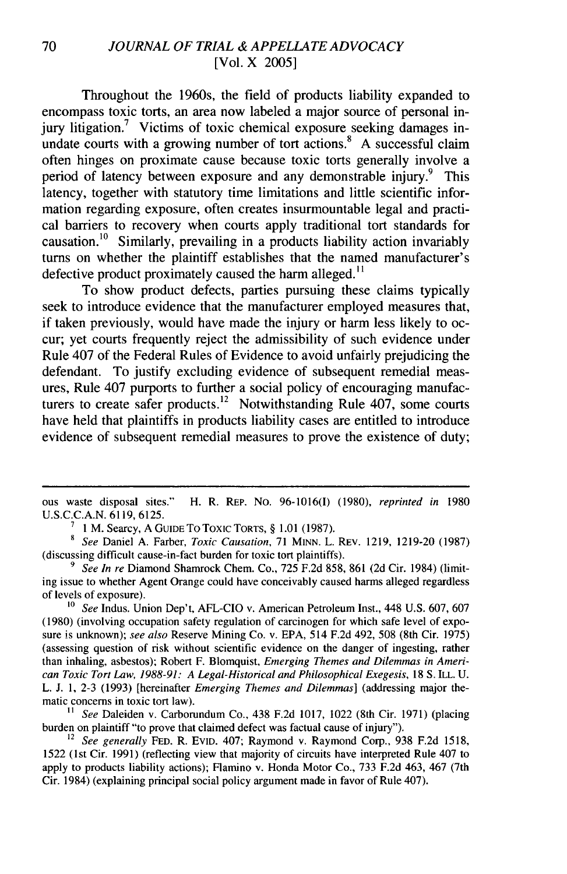Throughout the 1960s, the field of products liability expanded to encompass toxic torts, an area now labeled a major source of personal injury litigation.<sup>7</sup> Victims of toxic chemical exposure seeking damages inundate courts with a growing number of tort actions.<sup>8</sup> A successful claim often hinges on proximate cause because toxic torts generally involve a period of latency between exposure and any demonstrable injury.<sup>9</sup> This latency, together with statutory time limitations and little scientific information regarding exposure, often creates insurmountable legal and practical barriers to recovery when courts apply traditional tort standards for causation.<sup>10</sup> Similarly, prevailing in a products liability action invariably turns on whether the plaintiff establishes that the named manufacturer's defective product proximately caused the harm alleged.<sup>11</sup>

To show product defects, parties pursuing these claims typically seek to introduce evidence that the manufacturer employed measures that, if taken previously, would have made the injury or harm less likely to occur; yet courts frequently reject the admissibility of such evidence under Rule 407 of the Federal Rules of Evidence to avoid unfairly prejudicing the defendant. To justify excluding evidence of subsequent remedial measures, Rule 407 purports to further a social policy of encouraging manufacturers to create safer products.<sup>12</sup> Notwithstanding Rule 407, some courts have held that plaintiffs in products liability cases are entitled to introduce evidence of subsequent remedial measures to prove the existence of duty;

*10 See* Indus. Union Dep't, AFL-CIO v. American Petroleum Inst., 448 U.S. 607, 607 (1980) (involving occupation safety regulation of carcinogen for which safe level of exposure is unknown); *see also* Reserve Mining Co. v. EPA, 514 F.2d 492, 508 (8th Cir. 1975) (assessing question of risk without scientific evidence on the danger of ingesting, rather than inhaling, asbestos); Robert F. Blomquist, *Emerging Themes and Dilemmas in American Toxic Tort Law, 1988-91: A Legal-Historical and Philosophical Exegesis,* 18 **S.** ILL. U. L. J. 1, 2-3 (1993) [hereinafter *Emerging Themes and Dilemmas]* (addressing major thematic concerns in toxic tort law).

**11** *See* Daleiden v. Carborundum Co., 438 F.2d 1017, 1022 (8th Cir. 1971) (placing burden on plaintiff "to prove that claimed defect was factual cause of injury").

<sup>12</sup> See generally FED. R. EVID. 407; Raymond v. Raymond Corp., 938 F.2d 1518, 1522 (1st Cir. 1991) (reflecting view that majority of circuits have interpreted Rule 407 to apply to products liability actions); Flamino v. Honda Motor Co., 733 F.2d 463, 467 (7th Cir. 1984) (explaining principal social policy argument made in favor of Rule 407).

ous waste disposal sites." H. R. REP. No. 96-1016(I) (1980), *reprinted in* 1980 U.S.C.C.A.N. 6119, 6125.

**<sup>7 1</sup>** M. Searcy, A GUIDE To Toxic TORTS, § 1.01 (1987).

*<sup>8</sup> See* Daniel A. Farber, *Toxic Causation,* 71 MINN. L. REV. 1219, 1219-20 (1987) (discussing difficult cause-in-fact burden for toxic tort plaintiffs).

**<sup>9</sup>** *See In re* Diamond Shamrock Chem. Co., 725 F.2d 858, 861 (2d Cir. 1984) (limiting issue to whether Agent Orange could have conceivably caused harms alleged regardless of levels of exposure).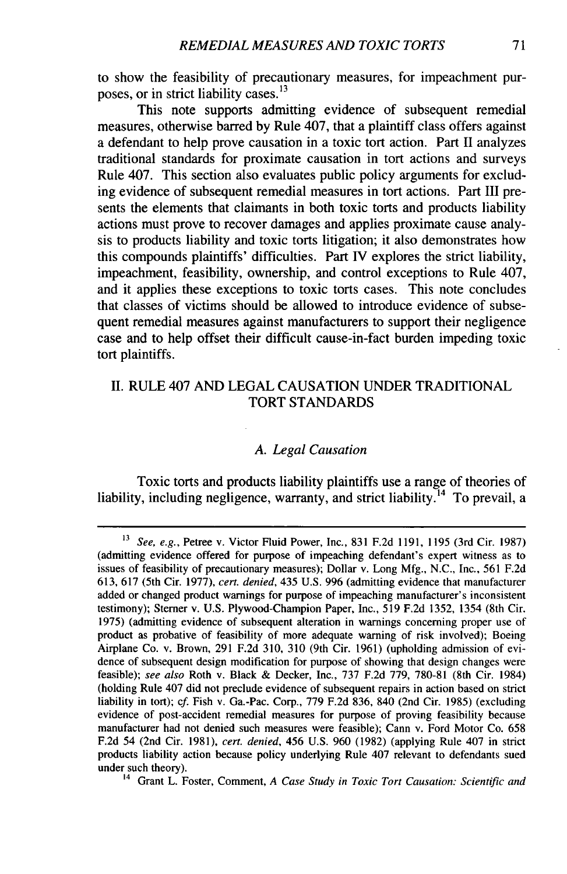to show the feasibility of precautionary measures, for impeachment purposes, or in strict liability cases.<sup>13</sup>

This note supports admitting evidence of subsequent remedial measures, otherwise barred **by** Rule 407, that a plaintiff class offers against a defendant to help prove causation in a toxic tort action. Part **II** analyzes traditional standards for proximate causation in tort actions and surveys Rule 407. This section also evaluates public policy arguments for excluding evidence of subsequent remedial measures in tort actions. Part **III** presents the elements that claimants in both toxic torts and products liability actions must prove to recover damages and applies proximate cause analysis to products liability and toxic torts litigation; it also demonstrates how this compounds plaintiffs' difficulties. Part **IV** explores the strict liability, impeachment, feasibility, ownership, and control exceptions to Rule 407, and it applies these exceptions to toxic torts cases. This note concludes that classes of victims should be allowed to introduce evidence of subsequent remedial measures against manufacturers to support their negligence case and to help offset their difficult cause-in-fact burden impeding toxic tort plaintiffs.

# **II.** RULE 407 **AND LEGAL CAUSATION UNDER** TRADITIONAL TORT STANDARDS

#### *A. Legal Causation*

Toxic torts and products liability plaintiffs use a range of theories of liability, including negligence, warranty, and strict liability.<sup>14</sup> To prevail, a

**14** Grant L. Foster, Comment, *A Case Study in Toxic Tort Causation: Scientific and*

*<sup>13</sup>See, e.g.,* Petree v. Victor Fluid Power, Inc., **831 F.2d 1191, 1195** (3rd Cir. **1987)** (admitting evidence offered for purpose of impeaching defendant's expert witness as to issues of feasibility of precautionary measures); Dollar v. Long **Mfg., N.C.,** Inc., **561 F.2d 613, 617** (5th Cir. **1977),** *cert. denied,* 435 **U.S. 996** (admitting evidence that manufacturer added or changed product warnings for purpose of impeaching manufacturer's inconsistent testimony); Sterner v. **U.S.** Plywood-Champion Paper, Inc., **519 F.2d 1352,** 1354 (8th Cir. **1975)** (admitting evidence of subsequent alteration in warnings concerning proper use of product as probative of feasibility of more adequate warning of risk involved); Boeing Airplane Co. v. Brown, **291 F.2d 310, 310** (9th Cir. **1961)** (upholding admission of evidence of subsequent design modification for purpose of showing that design changes were feasible); *see also* Roth v. Black **&** Decker, Inc., **737 F.2d 779, 780-81** (8th Cir. 1984) (holding Rule 407 did not preclude evidence of subsequent repairs in action based on strict liability in tort); cf. Fish v. Ga.-Pac. Corp., **779 F.2d 836,** 840 (2nd Cir. **1985)** (excluding evidence of post-accident remedial measures for purpose of proving feasibility because manufacturer had not denied such measures were feasible); Cann v. Ford Motor Co. **658 F.2d** 54 (2nd Cir. **1981),** *cert. denied,* 456 **U.S. 960 (1982)** (applying Rule 407 in strict products liability action because policy underlying Rule 407 relevant to defendants sued under such theory).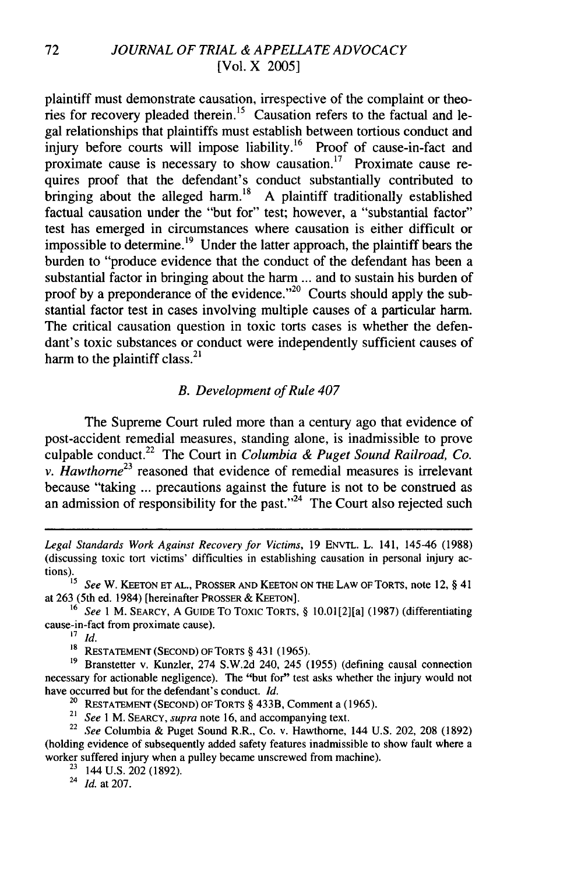plaintiff must demonstrate causation, irrespective of the complaint or theories for recovery pleaded therein.<sup>15</sup> Causation refers to the factual and legal relationships that plaintiffs must establish between tortious conduct and injury before courts will impose liability.<sup>16</sup> Proof of cause-in-fact and proximate cause is necessary to show causation.<sup>17</sup> Proximate cause requires proof that the defendant's conduct substantially contributed to bringing about the alleged harm.<sup>18</sup> A plaintiff traditionally established factual causation under the "but for" test; however, a "substantial factor" test has emerged in circumstances where causation is either difficult or impossible to determine.<sup>19</sup> Under the latter approach, the plaintiff bears the burden to "produce evidence that the conduct of the defendant has been a substantial factor in bringing about the harm ... and to sustain his burden of proof by a preponderance of the evidence."<sup>20</sup> Courts should apply the substantial factor test in cases involving multiple causes of a particular harm. The critical causation question in toxic torts cases is whether the defendant's toxic substances or conduct were independently sufficient causes of harm to the plaintiff class. $^{21}$ 

#### *B. Development of Rule 407*

The Supreme Court ruled more than a century ago that evidence of post-accident remedial measures, standing alone, is inadmissible to prove culpable conduct.22 The Court in *Columbia & Puget Sound Railroad, Co. v. Hawthorne*<sup>23</sup> reasoned that evidence of remedial measures is irrelevant because "taking ... precautions against the future is not to be construed as an admission of responsibility for the past."<sup>24</sup> The Court also rejected such

at 263 (5th ed. 1984) [hereinafter PROSSER & KEETON].

**<sup>16</sup>***See* 1 M. SEARCY, A GUIDE To Toxic TORTS, § 10.01[2][a] (1987) (differentiating cause-in-fact from proximate cause).

**<sup>17</sup>***id.*

**1s** RESTATEMENT (SECOND) OFTORTS § 431 (1965).

<sup>19</sup> Branstetter v. Kunzler, 274 S.W.2d 240, 245 (1955) (defining causal connection necessary for actionable negligence). The "but for" test asks whether the injury would not have occurred but for the defendant's conduct. *Id.*

<sup>20</sup> RESTATEMENT (SECOND) OF TORTS § 433B, Comment a (1965).

21 *See I* M. SEARCY, *supra* note 16, and accompanying text.

<sup>22</sup>*See* Columbia & Puget Sound R.R., Co. v. Hawthorne, 144 U.S. 202, 208 (1892) (holding evidence of subsequently added safety features inadmissible to show fault where a worker suffered injury when a pulley became unscrewed from machine).

 $23$  144 U.S. 202 (1892).

24 *Id.* at 207.

*Legal Standards* Work *Against Recovery for Victims,* 19 ENVTL. L. 141, 145-46 (1988) (discussing toxic tort victims' difficulties in establishing causation in personal injury actions). **<sup>15</sup>***See* W. **KEETON ET AL.,** PROSSER AND KEETON ON THE LAW OF TORTS, note 12, § 41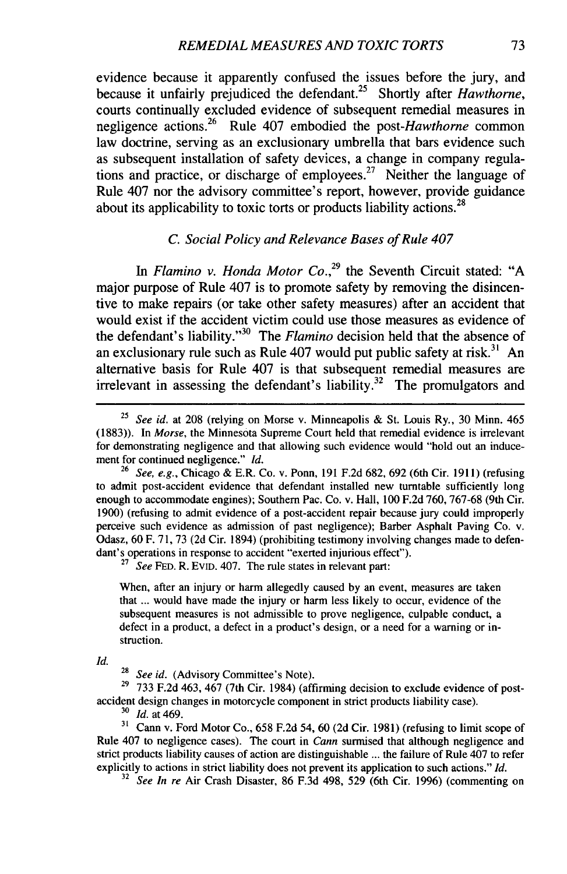evidence because it apparently confused the issues before the jury, and because it unfairly prejudiced the defendant.25 Shortly after *Hawthorne,* courts continually excluded evidence of subsequent remedial measures in negligence actions.<sup>26</sup> Rule 407 embodied the post-Hawthorne common law doctrine, serving as an exclusionary umbrella that bars evidence such as subsequent installation of safety devices, a change in company regulations and practice, or discharge of employees.<sup>27</sup> Neither the language of Rule 407 nor the advisory committee's report, however, provide guidance about its applicability to toxic torts or products liability actions.<sup>28</sup>

#### *C. Social Policy and Relevance Bases of Rule 407*

*In Flamino v. Honda Motor Co.,29* the Seventh Circuit stated: "A major purpose of Rule 407 is to promote safety by removing the disincentive to make repairs (or take other safety measures) after an accident that would exist if the accident victim could use those measures as evidence of the defendant's liability."<sup>30</sup> The *Flamino* decision held that the absence of an exclusionary rule such as Rule  $407$  would put public safety at risk.<sup>31</sup> An alternative basis for Rule 407 is that subsequent remedial measures are irrelevant in assessing the defendant's liability.<sup>32</sup> The promulgators and

<sup>27</sup> See FED. R. EVID. 407. The rule states in relevant part:

When, after an injury or harm allegedly caused by an event, measures are taken that ... would have made the injury or harm less likely to occur, evidence of the subsequent measures is not admissible to prove negligence, culpable conduct, a defect in a product, a defect in a product's design, or a need for a warning or instruction.

*Id.*

29 **733** F.2d 463, 467 (7th Cir. 1984) (affirming decision to exclude evidence of postaccident design changes in motorcycle component in strict products liability case).

<sup>30</sup>*Id.* at 469.

**31** Cann v. Ford Motor Co., 658 F.2d 54, 60 (2d Cir. 1981) (refusing to limit scope of Rule 407 to negligence cases). The court in *Cann* surmised that although negligence and strict products liability causes of action are distinguishable ... the failure of Rule 407 to refer explicitly to actions in strict liability does not prevent its application to such actions." *Id.*

*32 See In re* Air Crash Disaster, 86 F.3d 498, 529 (6th Cir. 1996) (commenting on

<sup>25</sup>*See id.* at 208 (relying on Morse v. Minneapolis & St. Louis Ry., 30 Minn. 465 (1883)). In *Morse,* the Minnesota Supreme Court held that remedial evidence is irrelevant for demonstrating negligence and that allowing such evidence would "hold out an inducement for continued negligence." *Id.*

**<sup>26</sup>***See, e.g.,* Chicago & E.R. Co. v. Ponn, 191 F.2d 682, 692 (6th Cir. 1911) (refusing to admit post-accident evidence that defendant installed new turntable sufficiently long enough to accommodate engines); Southern Pac. Co. v. Hall, 100 F.2d 760, 767-68 (9th Cir. 1900) (refusing to admit evidence of a post-accident repair because jury could improperly perceive such evidence as admission of past negligence); Barber Asphalt Paving Co. v. Odasz, 60 F. 71, 73 (2d Cir. 1894) (prohibiting testimony involving changes made to defendant's operations in response to accident "exerted injurious effect").

<sup>&</sup>lt;sup>28</sup> See id. (Advisory Committee's Note).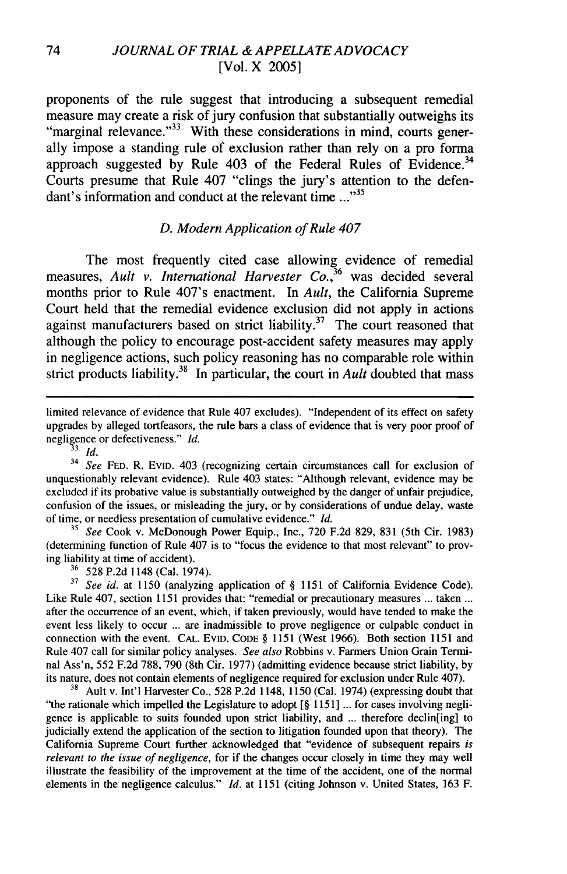proponents of the rule suggest that introducing a subsequent remedial measure may create a risk of jury confusion that substantially outweighs its "marginal relevance."<sup>33</sup> With these considerations in mind, courts generally impose a standing rule of exclusion rather than rely on a pro forma approach suggested by Rule  $403$  of the Federal Rules of Evidence.<sup>34</sup> Courts presume that Rule 407 "clings the jury's attention to the defendant's information and conduct at the relevant time **..."35**

#### *D. Modern Application of Rule 407*

The most frequently cited case allowing evidence of remedial measures, *Ault v. International Harvester Co.,3 6* was decided several months prior to Rule 407's enactment. In *Ault,* the California Supreme Court held that the remedial evidence exclusion did not apply in actions against manufacturers based on strict liability.<sup>37</sup> The court reasoned that although the policy to encourage post-accident safety measures may apply in negligence actions, such policy reasoning has no comparable role within strict products liability.<sup>38</sup> In particular, the court in *Ault* doubted that mass

<sup>34</sup>*See* **FED.** R. **EVID.** 403 (recognizing certain circumstances call for exclusion of unquestionably relevant evidence). Rule 403 states: "Although relevant, evidence may be excluded if its probative value is substantially outweighed **by** the danger of unfair prejudice, confusion of the issues, or misleading the jury, or **by** considerations of undue delay, waste of time, or needless presentation of cumulative evidence." *Id.*

*<sup>35</sup>See* Cook v. McDonough Power Equip., Inc., **720 F.2d 829, 831** (5th Cir. **1983)** (determining function of Rule 407 is to "focus the evidence to that most relevant" to proving liability at time of accident).

**<sup>36</sup>**528 **P.2d** 1148 (Cal. 1974).

**<sup>37</sup>***See id.* at **1150** (analyzing application of § **1151** of California Evidence Code). Like Rule 407, section **1151** provides that: "remedial or precautionary measures **...** taken **...** after the occurrence of an event, which, if taken previously, would have tended to make the event less likely to occur **...** are inadmissible to prove negligence or culpable conduct in connection with the event. **CAL. EVID. CODE** § **1151** (West **1966).** Both section **1151** and Rule 407 call for similar policy analyses. *See also* Robbins v. Farmers Union Grain Terminal Ass'n, 552 **F.2d 788, 790** (8th Cir. **1977)** (admitting evidence because strict liability, **by** its nature, does not contain elements of negligence required for exclusion under Rule 407).

**<sup>38</sup>**Ault v. Int'l Harvester Co., **528 P.2d** 1148, **1150** (Cal. 1974) (expressing doubt that "the rationale which impelled the Legislature to adopt **[§ 1151] ...** for cases involving negligence is applicable to suits founded upon strict liability, and ... therefore declin(ing) to judicially extend the application of the section to litigation founded upon that theory). The California Supreme Court further acknowledged that "evidence of subsequent repairs *is relevant to the issue of negligence,* for if the changes occur closely in time they may well illustrate the feasibility of the improvement at the time of the accident, one of the normal elements in the negligence calculus." *Id.* at **1151** (citing Johnson v. United States, **163** F.

limited relevance of evidence that Rule 407 excludes). "Independent of its effect on safety upgrades by alleged tortfeasors, the rule bars a class of evidence that is very poor proof of negligence or defectiveness." *Id.*

*<sup>33</sup>id.*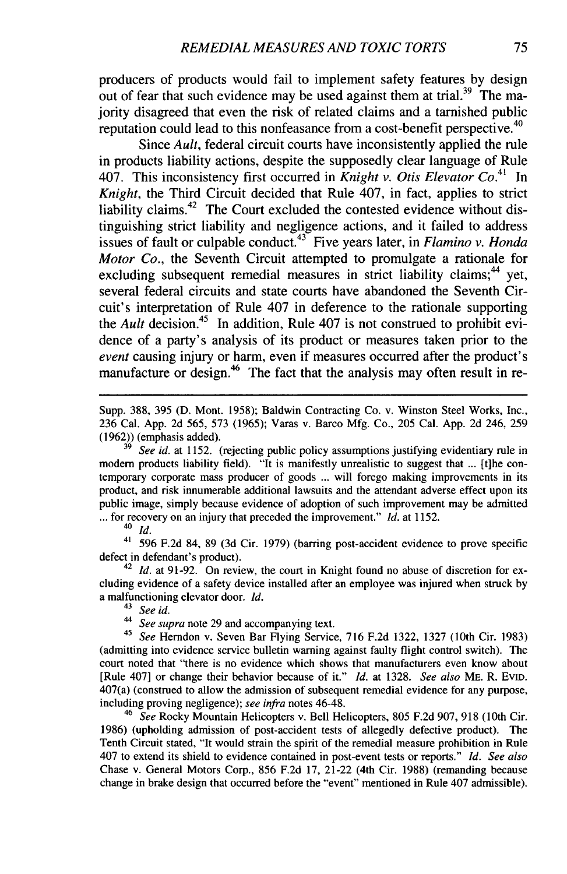producers of products would fail to implement safety features by design out of fear that such evidence may be used against them at trial.<sup>39</sup> The majority disagreed that even the risk of related claims and a tarnished public reputation could lead to this nonfeasance from a cost-benefit perspective.<sup>40</sup>

Since *Ault,* federal circuit courts have inconsistently applied the rule in products liability actions, despite the supposedly clear language of Rule 407. This inconsistency first occurred in *Knight v. Otis Elevator Co.41* In *Knight,* the Third Circuit decided that Rule 407, in fact, applies to strict liability claims. $42$  The Court excluded the contested evidence without distinguishing strict liability and negligence actions, and it failed to address issues of fault or culpable conduct.<sup>43</sup> Five years later, in *Flamino v. Honda Motor Co.,* the Seventh Circuit attempted to promulgate a rationale for excluding subsequent remedial measures in strict liability claims;<sup>44</sup> yet, several federal circuits and state courts have abandoned the Seventh Circuit's interpretation of Rule 407 in deference to the rationale supporting the *Ault* decision.<sup>45</sup> In addition, Rule 407 is not construed to prohibit evidence of a party's analysis of its product or measures taken prior to the *event* causing injury or harm, even if measures occurred after the product's manufacture or design.<sup>46</sup> The fact that the analysis may often result in re-

Supp. 388, 395 (D. Mont. 1958); Baldwin Contracting Co. v. Winston Steel Works, Inc., 236 Cal. App. 2d 565, 573 (1965); Varas v. Barco Mfg. Co., 205 Cal. App. 2d 246, 259 (1962)) (emphasis added).

**<sup>39</sup>***See id.* at 1152. (rejecting public policy assumptions justifying evidentiary rule in modern products liability field). "It is manifestly unrealistic to suggest that ... [t]he contemporary corporate mass producer of goods ... will forego making improvements in its product, and risk innumerable additional lawsuits and the attendant adverse effect upon its public image, simply because evidence of adoption of such improvement may be admitted **...** for recovery on an injury that preceded the improvement." *Id.* at 1152.

<sup>40</sup>*id.*

**<sup>41</sup>**596 F.2d 84, 89 (3d Cir. 1979) (barring post-accident evidence to prove specific defect in defendant's product).

<sup>42</sup> *Id.* at 91-92. On review, the court in Knight found no abuse of discretion for excluding evidence of a safety device installed after an employee was injured when struck by a malfunctioning elevator door. *Id.*

<sup>41</sup>*See id.*

*<sup>44</sup>See supra* note 29 and accompanying text.

<sup>45</sup>*See* Herndon v. Seven Bar Flying Service, 716 F.2d 1322, 1327 (10th Cir. 1983) (admitting into evidence service bulletin warning against faulty flight control switch). The court noted that "there is no evidence which shows that manufacturers even know about [Rule 407] or change their behavior because of it." *Id.* at 1328. *See also* ME. R. EVID. 407(a) (construed to allow the admission of subsequent remedial evidence for any purpose, including proving negligence); *see infra* notes 46-48.

<sup>46</sup>*See* Rocky Mountain Helicopters v. Bell Helicopters, 805 F.2d 907, 918 (10th Cir. 1986) (upholding admission of post-accident tests of allegedly defective product). The Tenth Circuit stated, "It would strain the spirit of the remedial measure prohibition in Rule 407 to extend its shield to evidence contained in post-event tests or reports." *Id. See also* Chase v. General Motors Corp., 856 F.2d 17, 21-22 (4th Cir. 1988) (remanding because change in brake design that occurred before the "event" mentioned in Rule 407 admissible).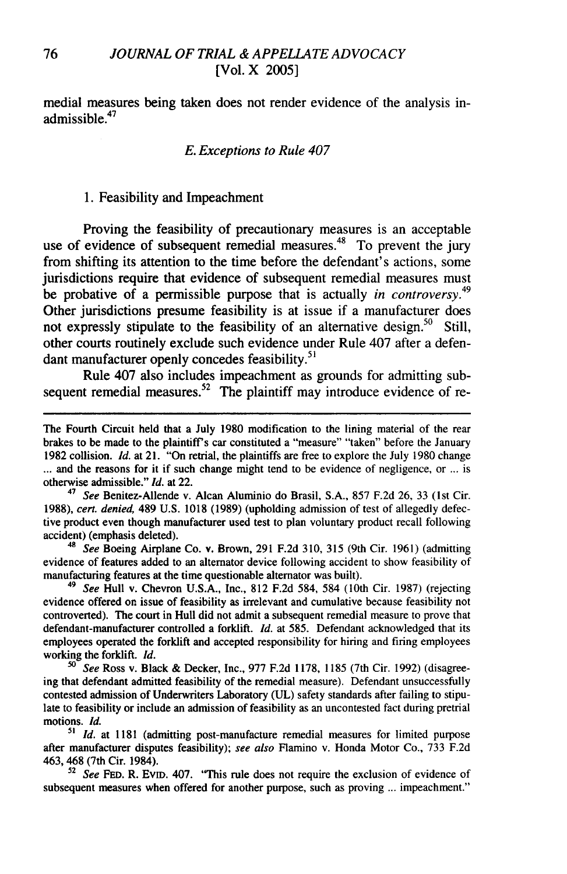medial measures being taken does not render evidence of the analysis inadmissible.<sup>47</sup>

#### *E. Exceptions to Rule 407*

#### 1. Feasibility and Impeachment

Proving the feasibility of precautionary measures is an acceptable use of evidence of subsequent remedial measures.<sup>48</sup> To prevent the jury from shifting its attention to the time before the defendant's actions, some jurisdictions require that evidence of subsequent remedial measures must be probative of a permissible purpose that is actually *in controversy.* Other jurisdictions presume feasibility is at issue if a manufacturer does not expressly stipulate to the feasibility of an alternative design.<sup>50</sup> Still, other courts routinely exclude such evidence under Rule 407 after a defendant manufacturer openly concedes feasibility.<sup>51</sup>

Rule 407 also includes impeachment as grounds for admitting subsequent remedial measures.<sup>52</sup> The plaintiff may introduce evidence of re-

<sup>47</sup>*See* Benitez-Allende v. Alcan Aluminio do Brasil, S.A., 857 F.2d 26, 33 (1st Cir. 1988), cert. denied, 489 U.S. 1018 (1989) (upholding admission of test of allegedly defective product even though manufacturer used test to plan voluntary product recall following accident) (emphasis deleted).

<sup>48</sup> See Boeing Airplane Co. v. Brown, 291 F.2d 310, 315 (9th Cir. 1961) (admitting evidence of features added to an alternator device following accident to show feasibility of manufacturing features at the time questionable alternator was built).

*<sup>49</sup>*See Hull v. Chevron U.S.A., Inc., 812 F.2d 584, 584 (10th Cir. 1987) (rejecting evidence offered on issue of feasibility as irrelevant and cumulative because feasibility not controverted). The court in Hull did not admit a subsequent remedial measure to prove that defendant-manufacturer controlled a forklift. Id. at 585. Defendant acknowledged that its employees operated the forklift and accepted responsibility for hiring and firing employees working the forklift. **Id.**

*50* See Ross v. Black & Decker, Inc., 977 F.2d 1178, 1185 (7th Cir. 1992) (disagreeing that defendant admitted feasibility of the remedial measure). Defendant unsuccessfully contested admission of Underwriters Laboratory (UL) safety standards after failing to stipulate to feasibility or include an admission of feasibility as an uncontested fact during pretrial motions. **Id.**

*5'* **Id.** at 1181 (admitting post-manufacture remedial measures for limited purpose after manufacturer disputes feasibility); see also Flamino v. Honda Motor Co., 733 F.2d 463, 468 (7th Cir. 1984).

<sup>52</sup> See FED. R. EVID. 407. "This rule does not require the exclusion of evidence of subsequent measures when offered for another purpose, such as proving ... impeachment."

The Fourth Circuit held that a July 1980 modification to the lining material of the rear brakes to be made to the plaintiff's car constituted a "measure" "taken" before the January 1982 collision. **Id.** at 21. "On retrial, the plaintiffs are free to explore the July 1980 change **...** and the reasons for it if such change might tend to be evidence of negligence, or ... is otherwise admissible." **Id.** at 22.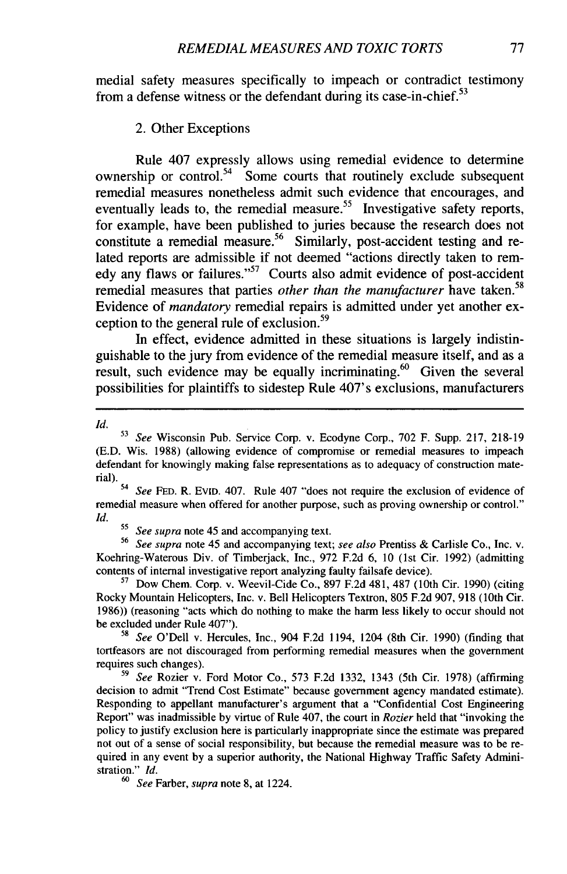medial safety measures specifically to impeach or contradict testimony from a defense witness or the defendant during its case-in-chief.<sup>53</sup>

#### 2. Other Exceptions

Rule 407 expressly allows using remedial evidence to determine ownership or control.<sup>54</sup> Some courts that routinely exclude subsequent remedial measures nonetheless admit such evidence that encourages, and eventually leads to, the remedial measure.<sup>55</sup> Investigative safety reports, for example, have been published to juries because the research does not constitute a remedial measure.<sup>56</sup> Similarly, post-accident testing and related reports are admissible if not deemed "actions directly taken to remedy any flaws or failures."<sup>57</sup> Courts also admit evidence of post-accident remedial measures that parties *other than the manufacturer* have taken.<sup>58</sup> Evidence of *mandatory* remedial repairs is admitted under yet another exception to the general rule of exclusion.<sup>59</sup>

In effect, evidence admitted in these situations is largely indistinguishable to the jury from evidence of the remedial measure itself, and as a result, such evidence may be equally incriminating. $60$  Given the several possibilities for plaintiffs to sidestep Rule 407's exclusions, manufacturers

*Id.*

*54 See* FED. R. EvID. 407. Rule 407 "does not require the exclusion of evidence of remedial measure when offered for another purpose, such as proving ownership or control." *Id.*

*55 See supra* note 45 and accompanying text.

**<sup>56</sup>***See supra* note 45 and accompanying text; *see also* Prentiss & Carlisle Co., Inc. v. Koehring-Waterous Div. of Timbeijack, Inc., 972 F.2d 6, 10 (1st Cir. 1992) (admitting contents of internal investigative report analyzing faulty failsafe device).

**<sup>57</sup>**Dow Chem. Corp. v. Weevil-Cide Co., 897 F.2d 481, 487 (10th Cir. 1990) (citing Rocky Mountain Helicopters, Inc. v. Bell Helicopters Textron, 805 F.2d 907, 918 (10th Cir. 1986)) (reasoning "acts which do nothing to make the harm less likely to occur should not be excluded under Rule 407").

58 *See* O'Dell v. Hercules, Inc., 904 F.2d 1194, 1204 (8th Cir. 1990) (finding that tortfeasors are not discouraged from performing remedial measures when the government requires such changes).

*<sup>59</sup>See* Rozier v. Ford Motor Co., 573 F.2d 1332, 1343 (5th Cir. 1978) (affirming decision to admit "Trend Cost Estimate" because government agency mandated estimate). Responding to appellant manufacturer's argument that a "Confidential Cost Engineering Report" was inadmissible by virtue of Rule 407, the court in *Rozier* held that "invoking the policy to justify exclusion here is particularly inappropriate since the estimate was prepared not out of a sense of social responsibility, but because the remedial measure was to be required in any event by a superior authority, the National Highway Traffic Safety Administration." *Id.*

*60 See* Farber, *supra* note 8, at 1224.

**<sup>53</sup>***See* Wisconsin Pub. Service Corp. v. Ecodyne Corp., 702 F. Supp. 217, 218-19 (E.D. Wis. 1988) (allowing evidence of compromise or remedial measures to impeach defendant for knowingly making false representations as to adequacy of construction material).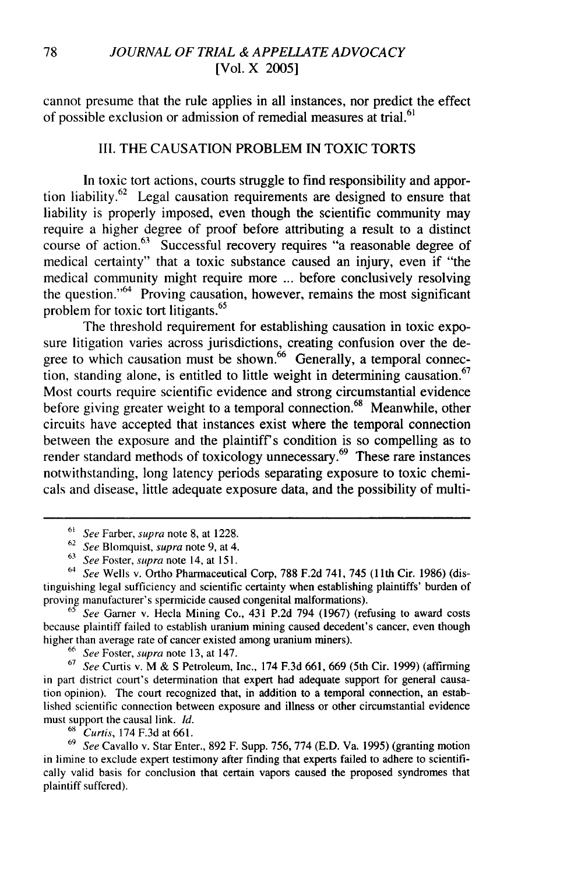cannot presume that the rule applies in all instances, nor predict the effect of possible exclusion or admission of remedial measures at trial.<sup>61</sup>

#### III. THE CAUSATION PROBLEM IN TOXIC TORTS

In toxic tort actions, courts struggle to find responsibility and apportion liability.62 Legal causation requirements are designed to ensure that liability is properly imposed, even though the scientific community may require a higher degree of proof before attributing a result to a distinct course of action.63 Successful recovery requires "a reasonable degree of medical certainty" that a toxic substance caused an injury, even if "the medical community might require more ... before conclusively resolving the question." $64$  Proving causation, however, remains the most significant **<sup>65</sup>** problem for toxic tort litigants.

The threshold requirement for establishing causation in toxic exposure litigation varies across jurisdictions, creating confusion over the degree to which causation must be shown.<sup>66</sup> Generally, a temporal connection, standing alone, is entitled to little weight in determining causation.<sup>67</sup> Most courts require scientific evidence and strong circumstantial evidence before giving greater weight to a temporal connection.<sup>68</sup> Meanwhile, other circuits have accepted that instances exist where the temporal connection between the exposure and the plaintiff's condition is so compelling as to render standard methods of toxicology unnecessary. $^{69}$  These rare instances notwithstanding, long latency periods separating exposure to toxic chemicals and disease, little adequate exposure data, and the possibility of multi-

 $65$  See Garner v. Hecla Mining Co., 431 P.2d 794 (1967) (refusing to award costs because plaintiff failed to establish uranium mining caused decedent's cancer, even though higher than average rate of cancer existed among uranium miners).

<sup>66</sup> See Foster, supra note 13, at 147.

 $67$  See Curtis v. M & S Petroleum, Inc., 174 F.3d 661, 669 (5th Cir. 1999) (affirming in part district court's determination that expert had adequate support for general causation opinion). The court recognized that, in addition to a temporal connection, an established scientific connection between exposure and illness or other circumstantial evidence must support the causal link. *Id.*

**68** Curtis, 174 F.3d at 661.

69 *See* Cavallo v. Star Enter., 892 F. Supp. 756, 774 (E.D. Va. 1995) (granting motion in limine to exclude expert testimony after finding that experts failed to adhere to scientifically valid basis for conclusion that certain vapors caused the proposed syndromes that plaintiff suffered).

 $61$  See Farber, supra note 8, at 1228.

 $62$  See Blomquist, supra note 9, at 4.

**<sup>63</sup>** See Foster, supra note 14, at 151.

 $64$  See Wells v. Ortho Pharmaceutical Corp, 788 F.2d 741, 745 (11th Cir. 1986) (distinguishing legal sufficiency and scientific certainty when establishing plaintiffs' burden of proving manufacturer's spermicide caused congenital malformations).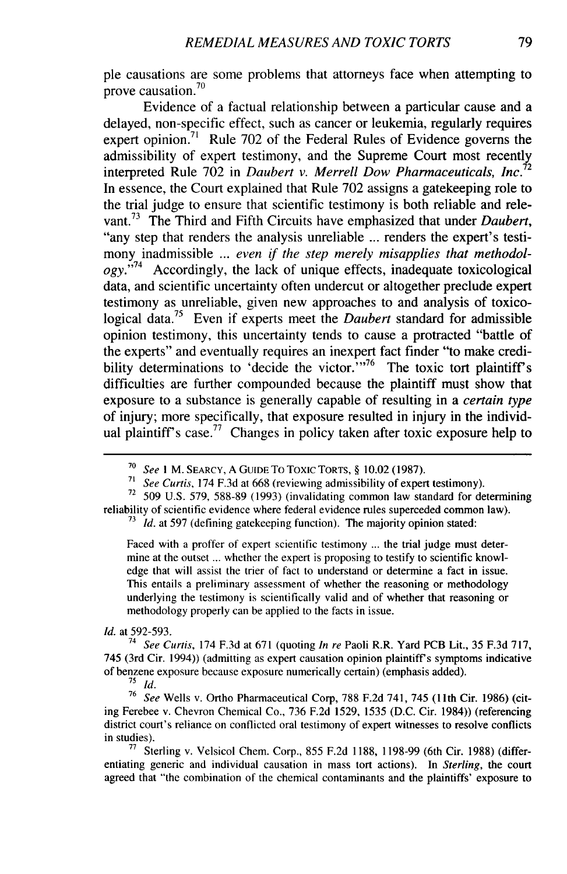pie causations are some problems that attorneys face when attempting to prove causation.<sup>70</sup>

Evidence of a factual relationship between a particular cause and a delayed, non-specific effect, such as cancer or leukemia, regularly requires expert opinion.<sup>71</sup> Rule 702 of the Federal Rules of Evidence governs the admissibility of expert testimony, and the Supreme Court most recently interpreted Rule 702 in *Daubert v. Merrell Dow Pharmaceuticals, Inc.<sup>72</sup>* In essence, the Court explained that Rule 702 assigns a gatekeeping role to the trial judge to ensure that scientific testimony is both reliable and relevant.<sup>73</sup> The Third and Fifth Circuits have emphasized that under *Daubert*, "any step that renders the analysis unreliable ... renders the expert's testimony inadmissible ... *even if the step merely misapplies that methodology."'74* Accordingly, the lack of unique effects, inadequate toxicological data, and scientific uncertainty often undercut or altogether preclude expert testimony as unreliable, given new approaches to and analysis of toxicological data.75 Even if experts meet the *Daubert* standard for admissible opinion testimony, this uncertainty tends to cause a protracted "battle of the experts" and eventually requires an inexpert fact finder "to make credibility determinations to 'decide the victor. $\cdot$ <sup>1,76</sup> The toxic tort plaintiff's difficulties are further compounded because the plaintiff must show that exposure to a substance is generally capable of resulting in a *certain type* of injury; more specifically, that exposure resulted in injury in the individual plaintiff's case.<sup>77</sup> Changes in policy taken after toxic exposure help to

<sup>73</sup> Id. at 597 (defining gatekeeping function). The majority opinion stated:

Faced with a proffer of expert scientific testimony ... the trial judge must determine at the outset ... whether the expert is proposing to testify to scientific knowledge that will assist the trier of fact to understand or determine a fact in issue. This entails a preliminary assessment of whether the reasoning or methodology underlying the testimony is scientifically valid and of whether that reasoning or methodology properly can be applied to the facts in issue.

#### Id. at 592-593.

<sup>74</sup> See Curtis, 174 F.3d at 671 (quoting *In re Paoli R.R. Yard PCB Lit., 35 F.3d 717,* 745 (3rd Cir. 1994)) (admitting as expert causation opinion plaintiff's symptoms indicative of benzene exposure because exposure numerically certain) (emphasis added).

76 *See* Wells v. Ortho Pharmaceutical Corp, 788 F.2d 741, 745 (1 1th Cir. 1986) (citing Ferebee v. Chevron Chemical Co., 736 F.2d 1529, 1535 (D.C. Cir. 1984)) (referencing district court's reliance on conflicted oral testimony of expert witnesses to resolve conflicts in studies).

**77** Sterling v. Velsicol Chem. Corp., 855 F.2d 1188, 1198-99 (6th Cir. 1988) (differentiating generic and individual causation in mass tort actions). In Sterling, the court agreed that "the combination of the chemical contaminants and the plaintiffs' exposure to

**<sup>70</sup>**See *I* M. SEARCY, A GuIDE To Toxic TORTS, § 10.02 (1987).

<sup>&</sup>lt;sup>71</sup> See Curtis, 174 F.3d at 668 (reviewing admissibility of expert testimony).

<sup>&</sup>lt;sup>72</sup> 509 U.S. 579, 588-89 (1993) (invalidating common law standard for determining reliability of scientific evidence where federal evidence rules superceded common law).

**<sup>75</sup>** *id.*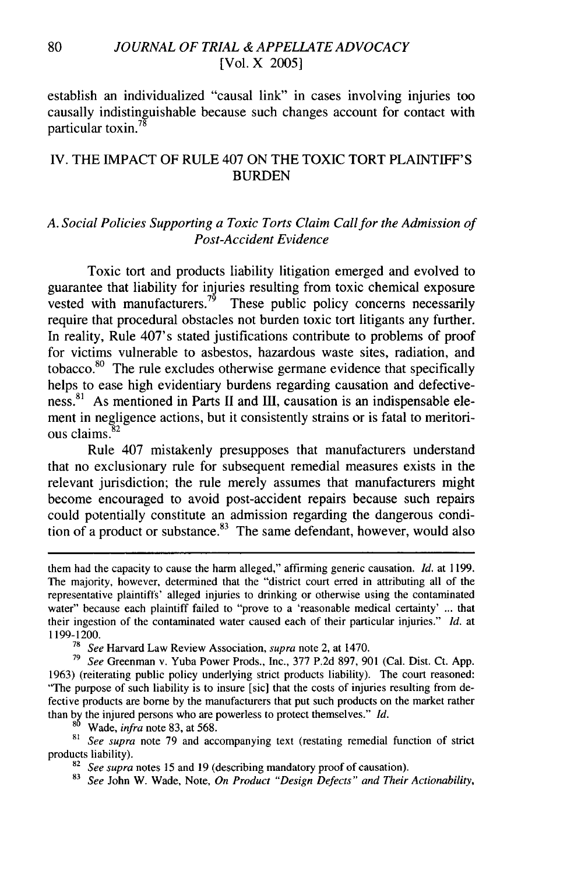establish an individualized "causal link" in cases involving injuries too causally indistinguishable because such changes account for contact with particular toxin.<sup>78</sup>

# IV. THE IMPACT OF RULE 407 ON THE TOXIC TORT PLAINTIFF'S BURDEN

### *A. Social Policies Supporting a Toxic Torts Claim Callfor the Admission of Post-Accident Evidence*

Toxic tort and products liability litigation emerged and evolved to guarantee that liability for injuries resulting from toxic chemical exposure vested with manufacturers.<sup>79</sup> These public policy concerns necessarily require that procedural obstacles not burden toxic tort litigants any further. In reality, Rule 407's stated justifications contribute to problems of proof for victims vulnerable to asbestos, hazardous waste sites, radiation, and tobacco. $80$  The rule excludes otherwise germane evidence that specifically helps to ease high evidentiary burdens regarding causation and defective $ness<sup>81</sup>$  As mentioned in Parts II and III, causation is an indispensable element in negligence actions, but it consistently strains or is fatal to meritorious claims. <sup>82</sup>

Rule 407 mistakenly presupposes that manufacturers understand that no exclusionary rule for subsequent remedial measures exists in the relevant jurisdiction; the rule merely assumes that manufacturers might become encouraged to avoid post-accident repairs because such repairs could potentially constitute an admission regarding the dangerous condition of a product or substance. $83$  The same defendant, however, would also

**<sup>80</sup>**Wade, *infra* note 83, at 568.

<sup>81</sup> See supra note 79 and accompanying text (restating remedial function of strict products liability).

them had the capacity to cause the harm alleged," affirming generic causation. *Id.* at 1199. The majority, however, determined that the "district court erred in attributing all of the representative plaintiffs' alleged injuries to drinking or otherwise using the contaminated water" because each plaintiff failed to "prove to a 'reasonable medical certainty' ... that their ingestion of the contaminated water caused each of their particular injuries." *Id.* at 1199-1200.

<sup>78</sup>*See* Harvard Law Review Association, *supra* note 2, at 1470.

**<sup>79</sup>***See* Greenman v. Yuba Power Prods., Inc., 377 P.2d 897, 901 (Cal. Dist. Ct. App. 1963) (reiterating public policy underlying strict products liability). The court reasoned: "The purpose of such liability is to insure [sic] that the costs of injuries resulting from defective products are borne by the manufacturers that put such products on the market rather than by the injured persons who are powerless to protect themselves." *Id.*

<sup>&</sup>lt;sup>82</sup> See supra notes 15 and 19 (describing mandatory proof of causation).

<sup>83</sup> *See* John W. Wade, Note, *On Product "Design Defects" and Their Actionability,*